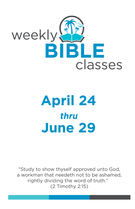

# **April 24** thru **June 29**

"Study to show thyself approved unto God, a workman that needeth not to be ashamed, rightly dividing the word of truth." (2 Timothy 2:15)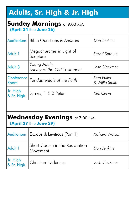# **Adults, Sr. High & Jr. High**

## **Sunday Mornings** at 9:00 A.M.

 **(April 24** thru **June 26)** 

| Auditorium             | <b>Bible Questions &amp; Answers</b>         | Dan Jenkins                  |  |  |
|------------------------|----------------------------------------------|------------------------------|--|--|
| Adult 1                | Megachurches in Light of<br>Scripture        | David Sproule                |  |  |
| Adult 3                | Young Adults:<br>Survey of the Old Testament | Josh Blackmer                |  |  |
| Conference<br>Room     | Fundamentals of the Faith                    | Dan Fuller<br>& Willie Smith |  |  |
| Jr. High<br>& Sr. High | James, 1 & 2 Peter                           | <b>Kirk Crews</b>            |  |  |
|                        |                                              |                              |  |  |

## **Wednesday Evenings** at 7:00 P.M.

 **(April 27** thru **June 29)** 

|                        | Auditorium   Exodus & Leviticus (Part 1)    | <b>Richard Watson</b> |  |
|------------------------|---------------------------------------------|-----------------------|--|
| Adult 1                | Short Course in the Restoration<br>Movement | Dan Jenkins           |  |
| Jr. High<br>& Sr. High | <b>Christian Evidences</b>                  | Josh Blackmer         |  |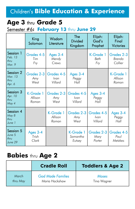## Children's **Bible Education & Experience**

## **Age 3** thru **Grade 5**

## Semester #6**: February 13** thru **June 29**

|                                        | King<br>Solomon               | Wisdom<br>Literature          | The<br><b>Divided</b><br>Kingdom         | Elijah:<br>God's<br>Prophet         | Elijah:<br>Final<br><b>Victories</b>     |
|----------------------------------------|-------------------------------|-------------------------------|------------------------------------------|-------------------------------------|------------------------------------------|
| Session 1<br>Feb. 13<br>thru<br>Mar. 9 | Grades 4-5<br>Tim<br>Fry      | Ages 3-4<br>Mendy<br>Crews    |                                          | K-Grade 1<br>Beth<br>Fry            | Grades 2-3<br>Brenda<br>Collier          |
| Session 2<br>Mar. 13<br>thru<br>Apr. 6 | Grades 2-3<br>Amy<br>West     | Grades 4-5<br>lvan<br>Villard | Ages 3-4<br>Peggy<br>$H$ <sub>a</sub> ll |                                     | K-Grade 1<br>Allison<br>Roman            |
| Session 3<br>Apr. 10<br>thru<br>May 4  | K-Grade 1<br>Allison<br>Roman | Grades 2-3<br>Amy<br>West     | Grades 4-5<br>Ivan<br>Villard            | Ages 3-4<br>Peggy<br>H <sub>Q</sub> |                                          |
| Session 4<br>May 8<br>thru<br>June 1   |                               | K-Grade 1<br>Allison<br>Roman | Grades 2-3<br>Amy<br>West                | Grades 4-5<br>Ivan<br>Villard       | Ages 3-4<br>Peggy<br>$H$ <sub>a</sub> ll |
| Session 5<br>June 5<br>thru<br>June 29 | Ages 3-4<br>Trish<br>Clark    |                               | K-Grade 1<br>Samantha<br>Eutsey          | Grades 2-3<br>Mary<br>Porter        | Grades 4-5<br>Paul<br>Metzkes            |

## **Babies** thru **Age 2**

|          | <b>Cradle Roll</b>       | <b>Toddlers &amp; Age 2</b> |
|----------|--------------------------|-----------------------------|
| March    | <b>God Made Families</b> | Moses                       |
| thru May | Maria Hackshaw           | Tina Wagner                 |